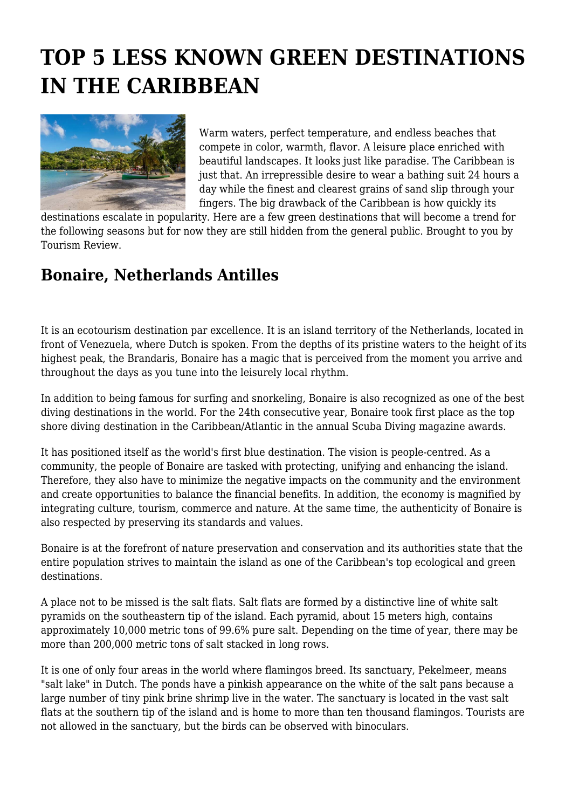# **TOP 5 LESS KNOWN GREEN DESTINATIONS IN THE CARIBBEAN**



Warm waters, perfect temperature, and endless beaches that compete in color, warmth, flavor. A leisure place enriched with beautiful landscapes. It looks just like paradise. The Caribbean is just that. An irrepressible desire to wear a bathing suit 24 hours a day while the finest and clearest grains of sand slip through your fingers. The big drawback of the Caribbean is how quickly its

destinations escalate in popularity. Here are a few green destinations that will become a trend for the following seasons but for now they are still hidden from the general public. Brought to you by Tourism Review.

#### **Bonaire, Netherlands Antilles**

It is an ecotourism destination par excellence. It is an island territory of the Netherlands, located in front of Venezuela, where Dutch is spoken. From the depths of its pristine waters to the height of its highest peak, the Brandaris, Bonaire has a magic that is perceived from the moment you arrive and throughout the days as you tune into the leisurely local rhythm.

In addition to being famous for surfing and snorkeling, Bonaire is also recognized as one of the best diving destinations in the world. For the 24th consecutive year, Bonaire took first place as the top shore diving destination in the Caribbean/Atlantic in the annual Scuba Diving magazine awards.

It has positioned itself as the world's first blue destination. The vision is people-centred. As a community, the people of Bonaire are tasked with protecting, unifying and enhancing the island. Therefore, they also have to minimize the negative impacts on the community and the environment and create opportunities to balance the financial benefits. In addition, the economy is magnified by integrating culture, tourism, commerce and nature. At the same time, the authenticity of Bonaire is also respected by preserving its standards and values.

Bonaire is at the forefront of nature preservation and conservation and its authorities state that the entire population strives to maintain the island as one of the Caribbean's top ecological and green destinations.

A place not to be missed is the salt flats. Salt flats are formed by a distinctive line of white salt pyramids on the southeastern tip of the island. Each pyramid, about 15 meters high, contains approximately 10,000 metric tons of 99.6% pure salt. Depending on the time of year, there may be more than 200,000 metric tons of salt stacked in long rows.

It is one of only four areas in the world where flamingos breed. Its sanctuary, Pekelmeer, means "salt lake" in Dutch. The ponds have a pinkish appearance on the white of the salt pans because a large number of tiny pink brine shrimp live in the water. The sanctuary is located in the vast salt flats at the southern tip of the island and is home to more than ten thousand flamingos. Tourists are not allowed in the sanctuary, but the birds can be observed with binoculars.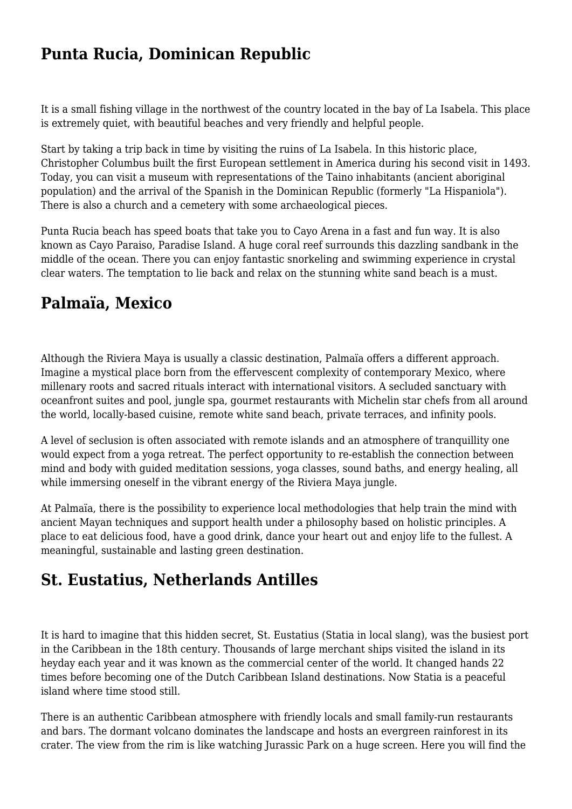### **Punta Rucia, Dominican Republic**

It is a small fishing village in the northwest of the country located in the bay of La Isabela. This place is extremely quiet, with beautiful beaches and very friendly and helpful people.

Start by taking a trip back in time by visiting the ruins of La Isabela. In this historic place, Christopher Columbus built the first European settlement in America during his second visit in 1493. Today, you can visit a museum with representations of the Taino inhabitants (ancient aboriginal population) and the arrival of the Spanish in the Dominican Republic (formerly "La Hispaniola"). There is also a church and a cemetery with some archaeological pieces.

Punta Rucia beach has speed boats that take you to Cayo Arena in a fast and fun way. It is also known as Cayo Paraiso, Paradise Island. A huge coral reef surrounds this dazzling sandbank in the middle of the ocean. There you can enjoy fantastic snorkeling and swimming experience in crystal clear waters. The temptation to lie back and relax on the stunning white sand beach is a must.

### **Palmaïa, Mexico**

Although the Riviera Maya is usually a classic destination, Palmaïa offers a different approach. Imagine a mystical place born from the effervescent complexity of contemporary Mexico, where millenary roots and sacred rituals interact with international visitors. A secluded sanctuary with oceanfront suites and pool, jungle spa, gourmet restaurants with Michelin star chefs from all around the world, locally-based cuisine, remote white sand beach, private terraces, and infinity pools.

A level of seclusion is often associated with remote islands and an atmosphere of tranquillity one would expect from a yoga retreat. The perfect opportunity to re-establish the connection between mind and body with guided meditation sessions, yoga classes, sound baths, and energy healing, all while immersing oneself in the vibrant energy of the Riviera Maya jungle.

At Palmaïa, there is the possibility to experience local methodologies that help train the mind with ancient Mayan techniques and support health under a philosophy based on holistic principles. A place to eat delicious food, have a good drink, dance your heart out and enjoy life to the fullest. A meaningful, sustainable and lasting green destination.

### **St. Eustatius, Netherlands Antilles**

It is hard to imagine that this hidden secret, St. Eustatius (Statia in local slang), was the busiest port in the Caribbean in the 18th century. Thousands of large merchant ships visited the island in its heyday each year and it was known as the commercial center of the world. It changed hands 22 times before becoming one of the Dutch Caribbean Island destinations. Now Statia is a peaceful island where time stood still.

There is an authentic Caribbean atmosphere with friendly locals and small family-run restaurants and bars. The dormant volcano dominates the landscape and hosts an evergreen rainforest in its crater. The view from the rim is like watching Jurassic Park on a huge screen. Here you will find the